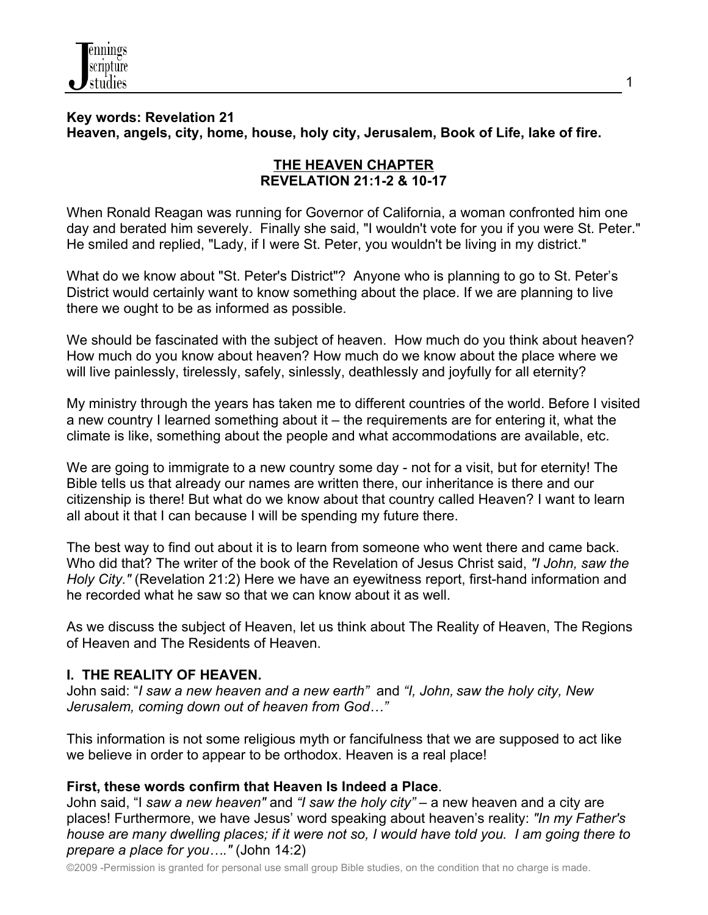

# **Key words: Revelation 21 Heaven, angels, city, home, house, holy city, Jerusalem, Book of Life, lake of fire.**

# **THE HEAVEN CHAPTER REVELATION 21:1-2 & 10-17**

When Ronald Reagan was running for Governor of California, a woman confronted him one day and berated him severely. Finally she said, "I wouldn't vote for you if you were St. Peter." He smiled and replied, "Lady, if I were St. Peter, you wouldn't be living in my district."

What do we know about "St. Peter's District"? Anyone who is planning to go to St. Peter's District would certainly want to know something about the place. If we are planning to live there we ought to be as informed as possible.

We should be fascinated with the subject of heaven. How much do you think about heaven? How much do you know about heaven? How much do we know about the place where we will live painlessly, tirelessly, safely, sinlessly, deathlessly and joyfully for all eternity?

My ministry through the years has taken me to different countries of the world. Before I visited a new country I learned something about it – the requirements are for entering it, what the climate is like, something about the people and what accommodations are available, etc.

We are going to immigrate to a new country some day - not for a visit, but for eternity! The Bible tells us that already our names are written there, our inheritance is there and our citizenship is there! But what do we know about that country called Heaven? I want to learn all about it that I can because I will be spending my future there.

The best way to find out about it is to learn from someone who went there and came back. Who did that? The writer of the book of the Revelation of Jesus Christ said, *"I John, saw the Holy City."* (Revelation 21:2) Here we have an eyewitness report, first-hand information and he recorded what he saw so that we can know about it as well.

As we discuss the subject of Heaven, let us think about The Reality of Heaven, The Regions of Heaven and The Residents of Heaven.

### **I. THE REALITY OF HEAVEN.**

John said: "*I saw a new heaven and a new earth"* and *"I, John, saw the holy city, New Jerusalem, coming down out of heaven from God…"*

This information is not some religious myth or fancifulness that we are supposed to act like we believe in order to appear to be orthodox. Heaven is a real place!

# **First, these words confirm that Heaven Is Indeed a Place**.

John said, "I *saw a new heaven"* and *"I saw the holy city"* – a new heaven and a city are places! Furthermore, we have Jesus' word speaking about heaven's reality: *"In my Father's house are many dwelling places; if it were not so, I would have told you. I am going there to prepare a place for you…."* (John 14:2)

©2009 -Permission is granted for personal use small group Bible studies, on the condition that no charge is made.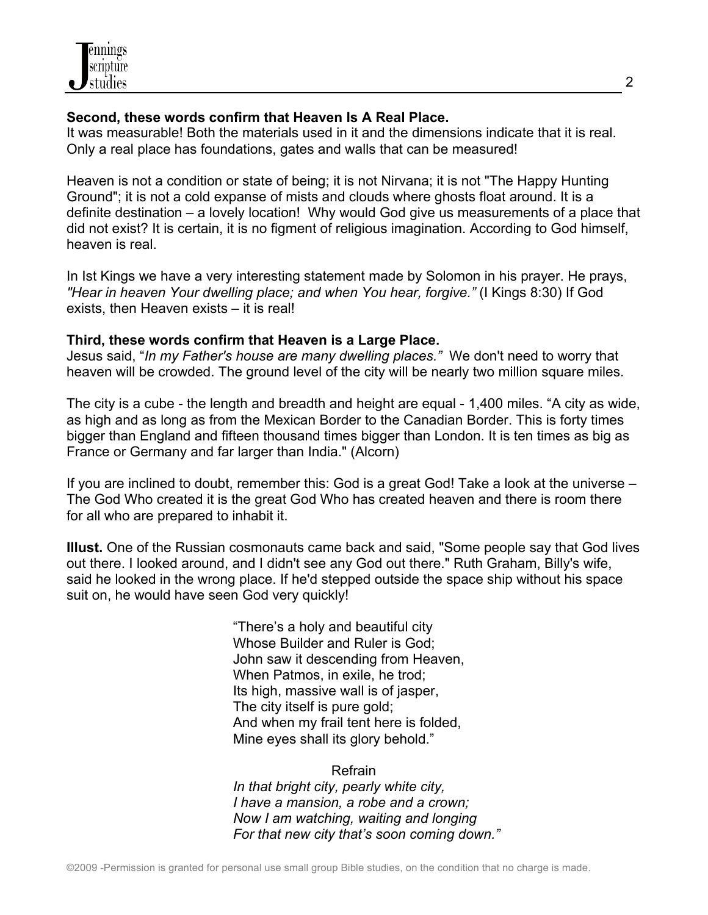

# **Second, these words confirm that Heaven Is A Real Place.**

It was measurable! Both the materials used in it and the dimensions indicate that it is real. Only a real place has foundations, gates and walls that can be measured!

Heaven is not a condition or state of being; it is not Nirvana; it is not "The Happy Hunting Ground"; it is not a cold expanse of mists and clouds where ghosts float around. It is a definite destination – a lovely location! Why would God give us measurements of a place that did not exist? It is certain, it is no figment of religious imagination. According to God himself, heaven is real.

In Ist Kings we have a very interesting statement made by Solomon in his prayer. He prays, *"Hear in heaven Your dwelling place; and when You hear, forgive."* (I Kings 8:30) If God exists, then Heaven exists – it is real!

# **Third, these words confirm that Heaven is a Large Place.**

Jesus said, "*In my Father's house are many dwelling places."* We don't need to worry that heaven will be crowded. The ground level of the city will be nearly two million square miles.

The city is a cube - the length and breadth and height are equal - 1,400 miles. "A city as wide, as high and as long as from the Mexican Border to the Canadian Border. This is forty times bigger than England and fifteen thousand times bigger than London. It is ten times as big as France or Germany and far larger than India." (Alcorn)

If you are inclined to doubt, remember this: God is a great God! Take a look at the universe – The God Who created it is the great God Who has created heaven and there is room there for all who are prepared to inhabit it.

**Illust.** One of the Russian cosmonauts came back and said, "Some people say that God lives out there. I looked around, and I didn't see any God out there." Ruth Graham, Billy's wife, said he looked in the wrong place. If he'd stepped outside the space ship without his space suit on, he would have seen God very quickly!

> "There's a holy and beautiful city Whose Builder and Ruler is God; John saw it descending from Heaven, When Patmos, in exile, he trod; Its high, massive wall is of jasper, The city itself is pure gold; And when my frail tent here is folded, Mine eyes shall its glory behold."

Refrain *In that bright city, pearly white city, I have a mansion, a robe and a crown; Now I am watching, waiting and longing For that new city that's soon coming down."*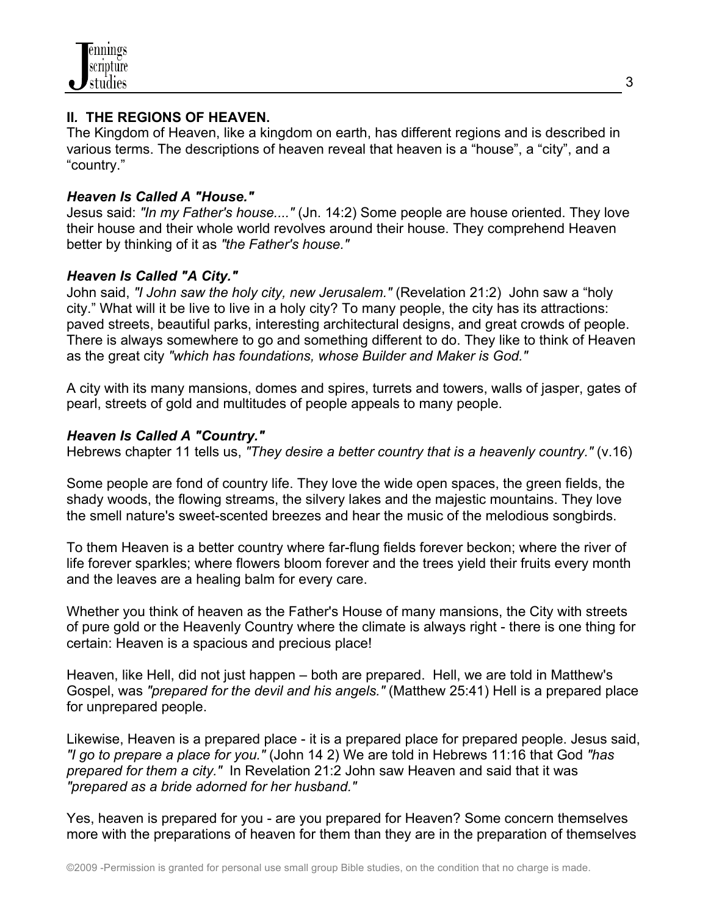

### **II***.* **THE REGIONS OF HEAVEN.**

The Kingdom of Heaven, like a kingdom on earth, has different regions and is described in various terms. The descriptions of heaven reveal that heaven is a "house", a "city", and a "country."

# *Heaven Is Called A "House."*

Jesus said: *"In my Father's house...."* (Jn. 14:2) Some people are house oriented. They love their house and their whole world revolves around their house. They comprehend Heaven better by thinking of it as *"the Father's house."*

# *Heaven Is Called "A City."*

John said, *"I John saw the holy city, new Jerusalem."* (Revelation 21:2) John saw a "holy city." What will it be live to live in a holy city? To many people, the city has its attractions: paved streets, beautiful parks, interesting architectural designs, and great crowds of people. There is always somewhere to go and something different to do. They like to think of Heaven as the great city *"which has foundations, whose Builder and Maker is God."*

A city with its many mansions, domes and spires, turrets and towers, walls of jasper, gates of pearl, streets of gold and multitudes of people appeals to many people.

# *Heaven Is Called A "Country."*

Hebrews chapter 11 tells us, *"They desire a better country that is a heavenly country."* (v.16)

Some people are fond of country life. They love the wide open spaces, the green fields, the shady woods, the flowing streams, the silvery lakes and the majestic mountains. They love the smell nature's sweet-scented breezes and hear the music of the melodious songbirds.

To them Heaven is a better country where far-flung fields forever beckon; where the river of life forever sparkles; where flowers bloom forever and the trees yield their fruits every month and the leaves are a healing balm for every care.

Whether you think of heaven as the Father's House of many mansions, the City with streets of pure gold or the Heavenly Country where the climate is always right - there is one thing for certain: Heaven is a spacious and precious place!

Heaven, like Hell, did not just happen – both are prepared. Hell, we are told in Matthew's Gospel, was *"prepared for the devil and his angels."* (Matthew 25:41) Hell is a prepared place for unprepared people.

Likewise, Heaven is a prepared place - it is a prepared place for prepared people. Jesus said, *"I go to prepare a place for you."* (John 14 2) We are told in Hebrews 11:16 that God *"has prepared for them a city."* In Revelation 21:2 John saw Heaven and said that it was *"prepared as a bride adorned for her husband."* 

Yes, heaven is prepared for you - are you prepared for Heaven? Some concern themselves more with the preparations of heaven for them than they are in the preparation of themselves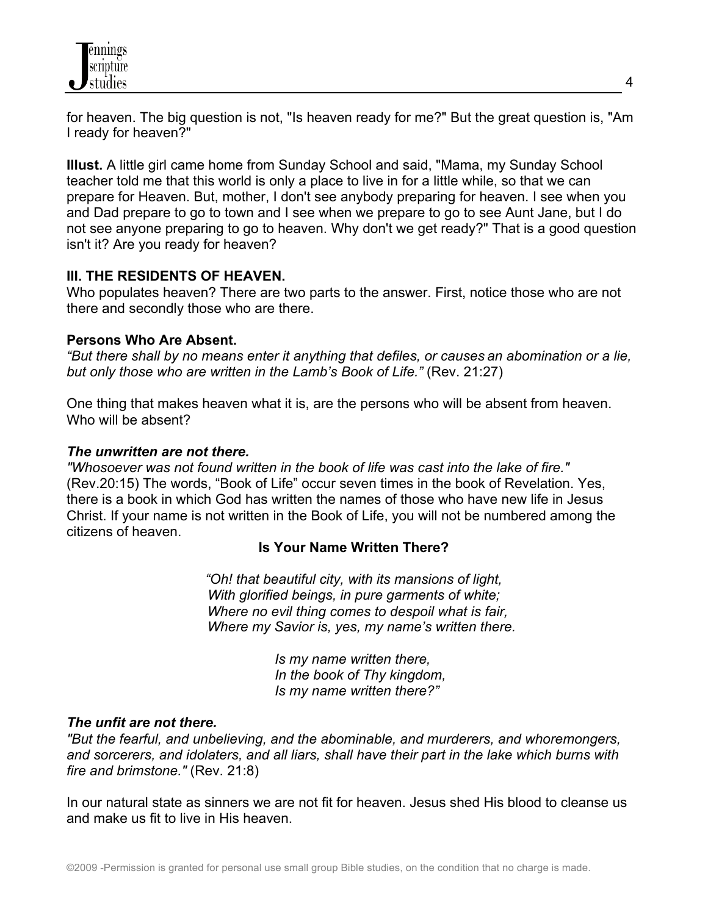

for heaven. The big question is not, "Is heaven ready for me?" But the great question is, "Am I ready for heaven?"

**Illust.** A little girl came home from Sunday School and said, "Mama, my Sunday School teacher told me that this world is only a place to live in for a little while, so that we can prepare for Heaven. But, mother, I don't see anybody preparing for heaven. I see when you and Dad prepare to go to town and I see when we prepare to go to see Aunt Jane, but I do not see anyone preparing to go to heaven. Why don't we get ready?" That is a good question isn't it? Are you ready for heaven?

### **III. THE RESIDENTS OF HEAVEN.**

Who populates heaven? There are two parts to the answer. First, notice those who are not there and secondly those who are there.

### **Persons Who Are Absent.**

*"But there shall by no means enter it anything that defiles, or causes an abomination or a lie, but only those who are written in the Lamb's Book of Life."* (Rev. 21:27)

One thing that makes heaven what it is, are the persons who will be absent from heaven. Who will be absent?

#### *The unwritten are not there.*

*"Whosoever was not found written in the book of life was cast into the lake of fire."* (Rev.20:15) The words, "Book of Life" occur seven times in the book of Revelation. Yes, there is a book in which God has written the names of those who have new life in Jesus Christ. If your name is not written in the Book of Life, you will not be numbered among the citizens of heaven.

#### **Is Your Name Written There?**

*"Oh! that beautiful city, with its mansions of light, With glorified beings, in pure garments of white; Where no evil thing comes to despoil what is fair, Where my Savior is, yes, my name's written there.*

> *Is my name written there, In the book of Thy kingdom, Is my name written there?"*

#### *The unfit are not there.*

*"But the fearful, and unbelieving, and the abominable, and murderers, and whoremongers, and sorcerers, and idolaters, and all liars, shall have their part in the lake which burns with fire and brimstone."* (Rev. 21:8)

In our natural state as sinners we are not fit for heaven. Jesus shed His blood to cleanse us and make us fit to live in His heaven.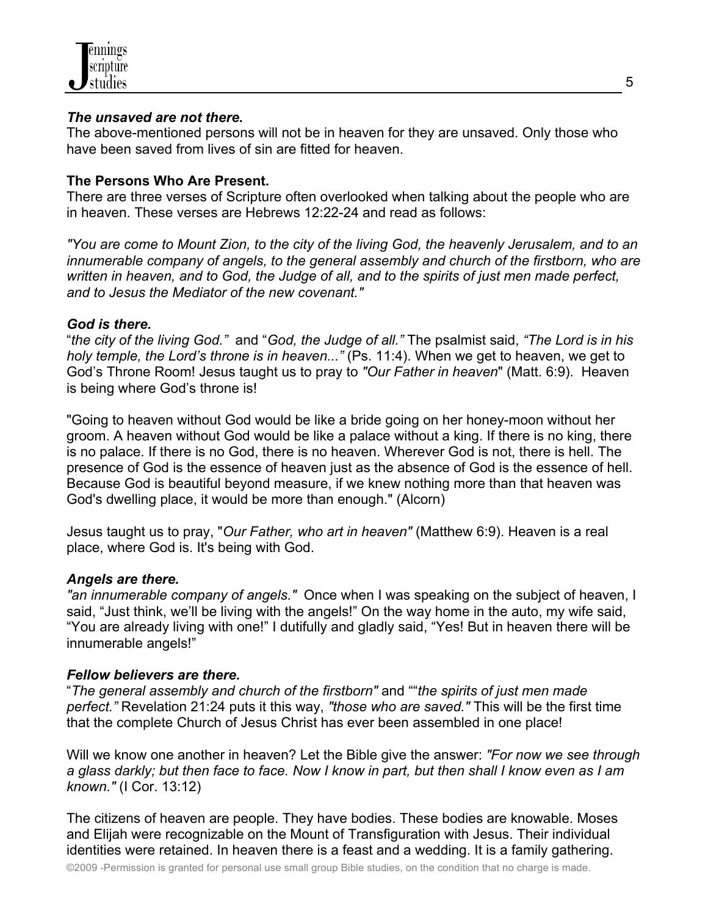

### *The unsaved are not there.*

The above-mentioned persons will not be in heaven for they are unsaved. Only those who have been saved from lives of sin are fitted for heaven.

### **The Persons Who Are Present.**

There are three verses of Scripture often overlooked when talking about the people who are in heaven. These verses are Hebrews 12:22-24 and read as follows:

*"You are come to Mount Zion, to the city of the living God, the heavenly Jerusalem, and to an innumerable company of angels, to the general assembly and church of the firstborn, who are written in heaven, and to God, the Judge of all, and to the spirits of just men made perfect, and to Jesus the Mediator of the new covenant."*

### *God is there.*

"*the city of the living God."* and "*God, the Judge of all."* The psalmist said, *"The Lord is in his holy temple, the Lord's throne is in heaven..."* (Ps. 11:4). When we get to heaven, we get to God's Throne Room! Jesus taught us to pray to *"Our Father in heaven*" (Matt. 6:9). Heaven is being where God's throne is!

"Going to heaven without God would be like a bride going on her honey-moon without her groom. A heaven without God would be like a palace without a king. If there is no king, there is no palace. If there is no God, there is no heaven. Wherever God is not, there is hell. The presence of God is the essence of heaven just as the absence of God is the essence of hell. Because God is beautiful beyond measure, if we knew nothing more than that heaven was God's dwelling place, it would be more than enough." (Alcorn)

Jesus taught us to pray, "*Our Father, who art in heaven"* (Matthew 6:9). Heaven is a real place, where God is. It's being with God.

### *Angels are there.*

*"an innumerable company of angels."* Once when I was speaking on the subject of heaven, I said, "Just think, we'll be living with the angels!" On the way home in the auto, my wife said, "You are already living with one!" I dutifully and gladly said, "Yes! But in heaven there will be innumerable angels!"

### *Fellow believers are there.*

"*The general assembly and church of the firstborn"* and ""*the spirits of just men made perfect."* Revelation 21:24 puts it this way, *"those who are saved."* This will be the first time that the complete Church of Jesus Christ has ever been assembled in one place!

Will we know one another in heaven? Let the Bible give the answer: *"For now we see through a glass darkly; but then face to face. Now I know in part, but then shall I know even as I am known."* (I Cor. 13:12)

The citizens of heaven are people. They have bodies. These bodies are knowable. Moses and Elijah were recognizable on the Mount of Transfiguration with Jesus. Their individual identities were retained. In heaven there is a feast and a wedding. It is a family gathering.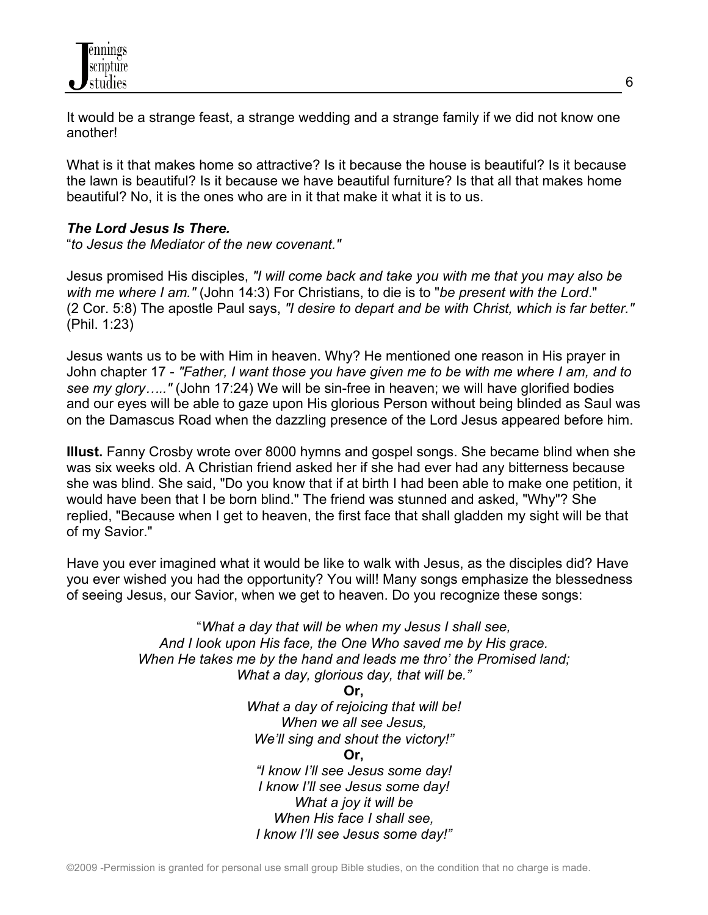It would be a strange feast, a strange wedding and a strange family if we did not know one another!

What is it that makes home so attractive? Is it because the house is beautiful? Is it because the lawn is beautiful? Is it because we have beautiful furniture? Is that all that makes home beautiful? No, it is the ones who are in it that make it what it is to us.

# *The Lord Jesus Is There.*

"*to Jesus the Mediator of the new covenant."*

Jesus promised His disciples, *"I will come back and take you with me that you may also be with me where I am."* (John 14:3) For Christians, to die is to "*be present with the Lord*." (2 Cor. 5:8) The apostle Paul says, *"I desire to depart and be with Christ, which is far better."* (Phil. 1:23)

Jesus wants us to be with Him in heaven. Why? He mentioned one reason in His prayer in John chapter 17 - *"Father, I want those you have given me to be with me where I am, and to see my glory….."* (John 17:24) We will be sin-free in heaven; we will have glorified bodies and our eyes will be able to gaze upon His glorious Person without being blinded as Saul was on the Damascus Road when the dazzling presence of the Lord Jesus appeared before him.

**Illust.** Fanny Crosby wrote over 8000 hymns and gospel songs. She became blind when she was six weeks old. A Christian friend asked her if she had ever had any bitterness because she was blind. She said, "Do you know that if at birth I had been able to make one petition, it would have been that I be born blind." The friend was stunned and asked, "Why"? She replied, "Because when I get to heaven, the first face that shall gladden my sight will be that of my Savior."

Have you ever imagined what it would be like to walk with Jesus, as the disciples did? Have you ever wished you had the opportunity? You will! Many songs emphasize the blessedness of seeing Jesus, our Savior, when we get to heaven. Do you recognize these songs:

> "*What a day that will be when my Jesus I shall see, And I look upon His face, the One Who saved me by His grace. When He takes me by the hand and leads me thro' the Promised land; What a day, glorious day, that will be."* **Or,** *What a day of rejoicing that will be!*

*When we all see Jesus, We'll sing and shout the victory!"* **Or,** *"I know I'll see Jesus some day! I know I'll see Jesus some day! What a joy it will be When His face I shall see, I know I'll see Jesus some day!"*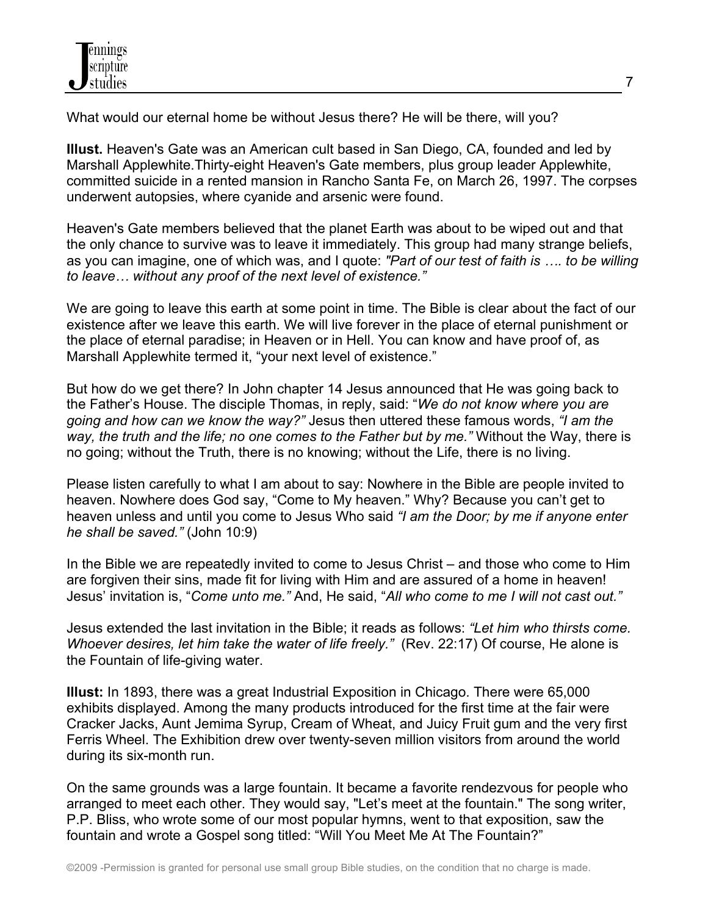What would our eternal home be without Jesus there? He will be there, will you?

**Illust.** Heaven's Gate was an American cult based in San Diego, CA, founded and led by Marshall Applewhite.Thirty-eight Heaven's Gate members, plus group leader Applewhite, committed suicide in a rented mansion in Rancho Santa Fe, on March 26, 1997. The corpses underwent autopsies, where cyanide and arsenic were found.

Heaven's Gate members believed that the planet Earth was about to be wiped out and that the only chance to survive was to leave it immediately. This group had many strange beliefs, as you can imagine, one of which was, and I quote: *"Part of our test of faith is …. to be willing to leave… without any proof of the next level of existence."*

We are going to leave this earth at some point in time. The Bible is clear about the fact of our existence after we leave this earth. We will live forever in the place of eternal punishment or the place of eternal paradise; in Heaven or in Hell. You can know and have proof of, as Marshall Applewhite termed it, "your next level of existence."

But how do we get there? In John chapter 14 Jesus announced that He was going back to the Father's House. The disciple Thomas, in reply, said: "*We do not know where you are going and how can we know the way?"* Jesus then uttered these famous words, *"I am the way, the truth and the life; no one comes to the Father but by me."* Without the Way, there is no going; without the Truth, there is no knowing; without the Life, there is no living.

Please listen carefully to what I am about to say: Nowhere in the Bible are people invited to heaven. Nowhere does God say, "Come to My heaven." Why? Because you can't get to heaven unless and until you come to Jesus Who said *"I am the Door; by me if anyone enter he shall be saved."* (John 10:9)

In the Bible we are repeatedly invited to come to Jesus Christ – and those who come to Him are forgiven their sins, made fit for living with Him and are assured of a home in heaven! Jesus' invitation is, "*Come unto me."* And, He said, "*All who come to me I will not cast out."*

Jesus extended the last invitation in the Bible; it reads as follows: *"Let him who thirsts come. Whoever desires, let him take the water of life freely."* (Rev. 22:17) Of course, He alone is the Fountain of life-giving water.

**Illust:** In 1893, there was a great Industrial Exposition in Chicago. There were 65,000 exhibits displayed. Among the many products introduced for the first time at the fair were Cracker Jacks, Aunt Jemima Syrup, Cream of Wheat, and Juicy Fruit gum and the very first Ferris Wheel. The Exhibition drew over twenty-seven million visitors from around the world during its six-month run.

On the same grounds was a large fountain. It became a favorite rendezvous for people who arranged to meet each other. They would say, "Let's meet at the fountain." The song writer, P.P. Bliss, who wrote some of our most popular hymns, went to that exposition, saw the fountain and wrote a Gospel song titled: "Will You Meet Me At The Fountain?"